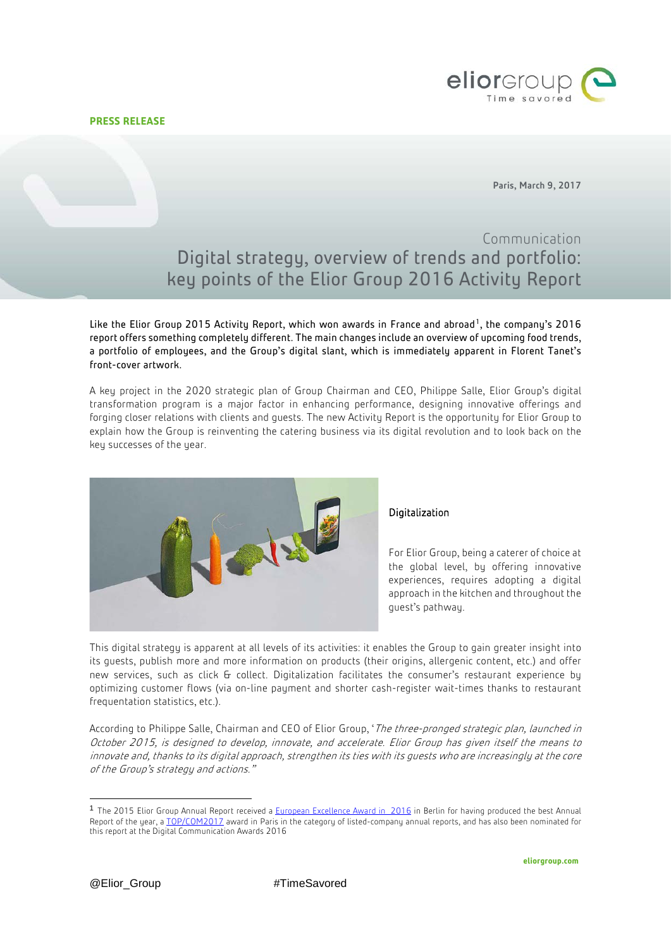**PRESS RELEASE**



Paris, March 9, 2017

# Communication Digital strategy, overview of trends and portfolio: key points of the Elior Group 2016 Activity Report

Like the Elior Group 2015 Activity Report, which won awards in France and abroad<sup>1</sup>, the company's 2016 report offers something completely different. The main changes include an overview of upcoming food trends, a portfolio of employees, and the Group's digital slant, which is immediately apparent in Florent Tanet's front-cover artwork.

A key project in the 2020 strategic plan of Group Chairman and CEO, Philippe Salle, Elior Group's digital transformation program is a major factor in enhancing performance, designing innovative offerings and forging closer relations with clients and guests. The new Activity Report is the opportunity for Elior Group to explain how the Group is reinventing the catering business via its digital revolution and to look back on the key successes of the year.



## Digitalization

For Elior Group, being a caterer of choice at the global level, by offering innovative experiences, requires adopting a digital approach in the kitchen and throughout the guest's pathway.

This digital strategy is apparent at all levels of its activities: it enables the Group to gain greater insight into its guests, publish more and more information on products (their origins, allergenic content, etc.) and offer new services, such as click & collect. Digitalization facilitates the consumer's restaurant experience by optimizing customer flows (via on-line payment and shorter cash-register wait-times thanks to restaurant frequentation statistics, etc.).

According to Philippe Salle, Chairman and CEO of Elior Group, 'The three-pronged strategic plan, launched in October 2015, is designed to develop, innovate, and accelerate. Elior Group has given itself the means to innovate and, thanks to its digital approach, strengthen its ties with its guests who are increasingly at the core of the Group's strategy and actions."

<span id="page-0-0"></span><sup>&</sup>lt;sup>1</sup> The 2015 Elior Group Annual Report received [a European Excellence Award in 2016](http://www.eliorgroup.com/press/press-releases/elior-group-rewarded-european-excellence-awards-2016) in Berlin for having produced the best Annual Report of the year, [a TOP/COM2017](http://www.eliorgroup.com/press/press-releases/elior-group-timesavored-activity-report-rewarded-topcom-2017) award in Paris in the category of listed-company annual reports, and has also been nominated for this report at the Digital Communication Awards 2016